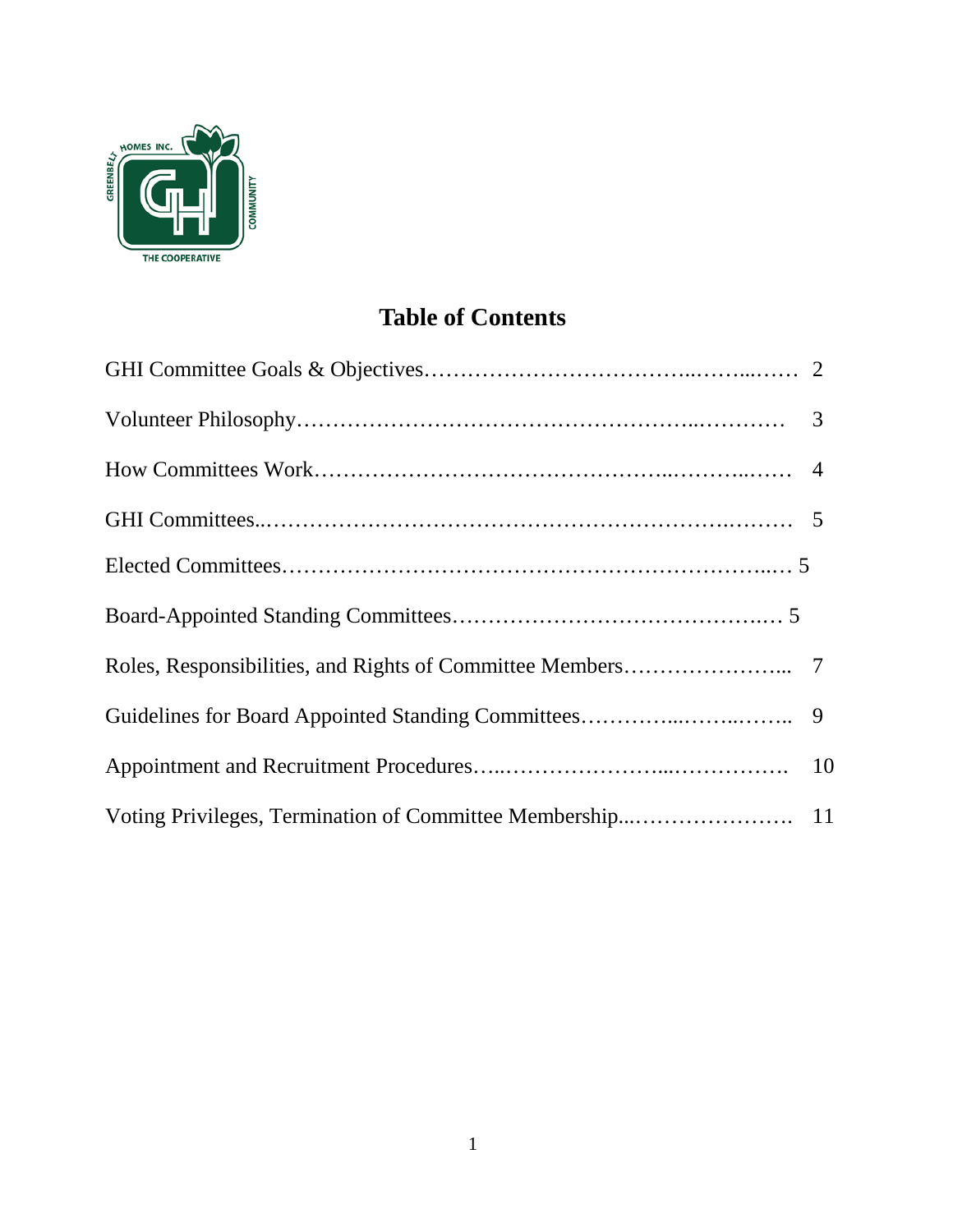

# **Table of Contents**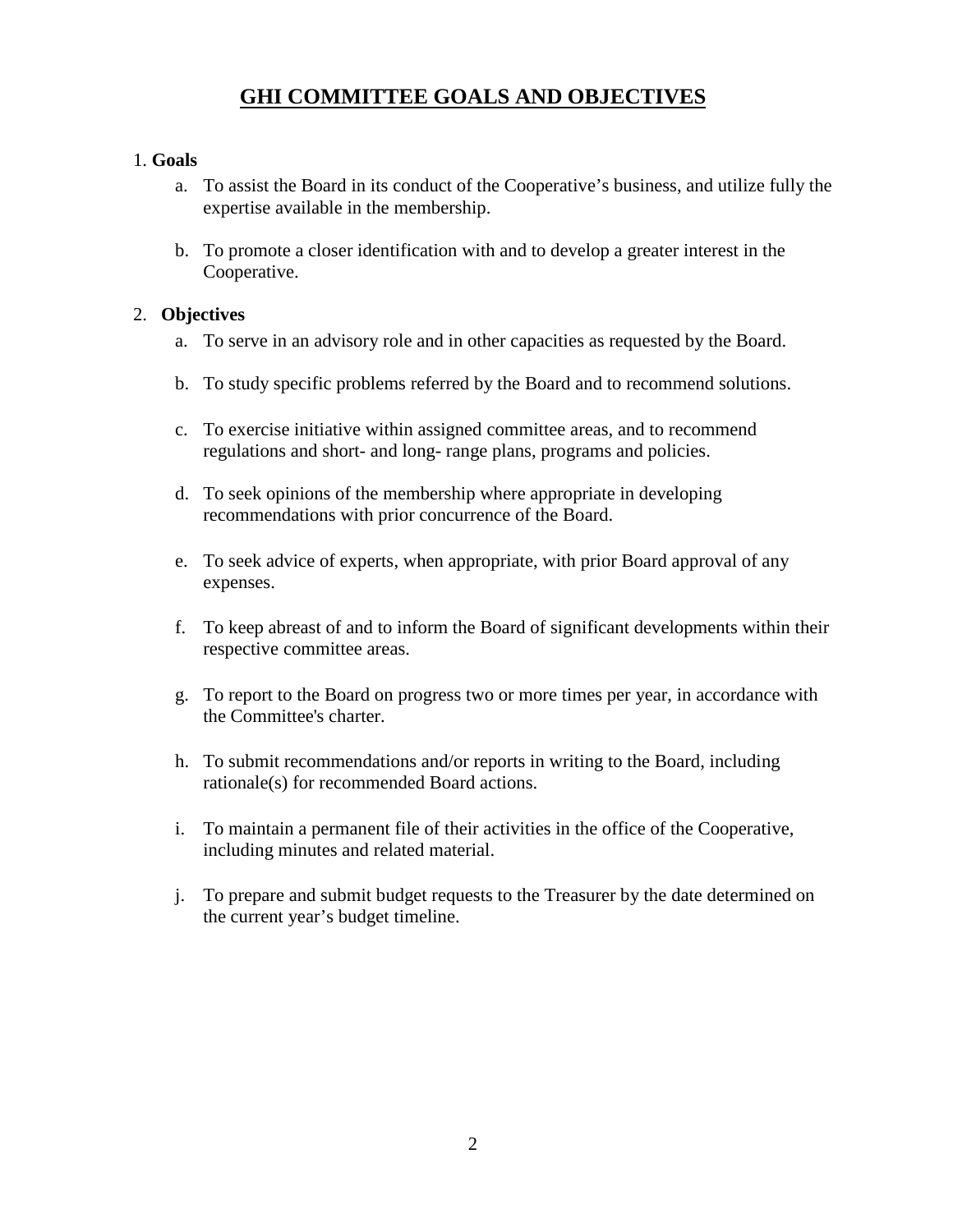# **GHI COMMITTEE GOALS AND OBJECTIVES**

#### 1. **Goals**

- a. To assist the Board in its conduct of the Cooperative's business, and utilize fully the expertise available in the membership.
- b. To promote a closer identification with and to develop a greater interest in the Cooperative.

#### 2. **Objectives**

- a. To serve in an advisory role and in other capacities as requested by the Board.
- b. To study specific problems referred by the Board and to recommend solutions.
- c. To exercise initiative within assigned committee areas, and to recommend regulations and short- and long- range plans, programs and policies.
- d. To seek opinions of the membership where appropriate in developing recommendations with prior concurrence of the Board.
- e. To seek advice of experts, when appropriate, with prior Board approval of any expenses.
- f. To keep abreast of and to inform the Board of significant developments within their respective committee areas.
- g. To report to the Board on progress two or more times per year, in accordance with the Committee's charter.
- h. To submit recommendations and/or reports in writing to the Board, including rationale(s) for recommended Board actions.
- i. To maintain a permanent file of their activities in the office of the Cooperative, including minutes and related material.
- j. To prepare and submit budget requests to the Treasurer by the date determined on the current year's budget timeline.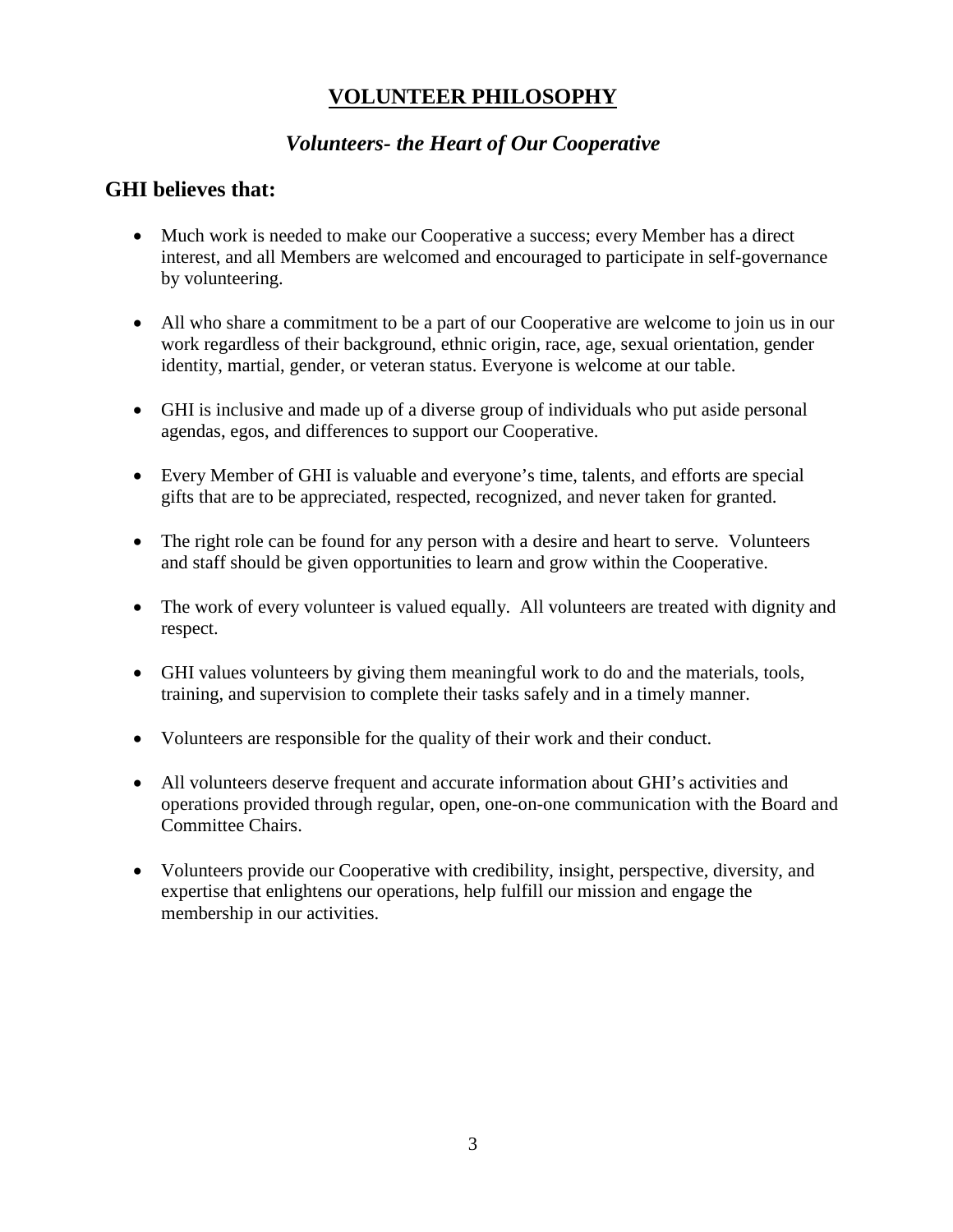# **VOLUNTEER PHILOSOPHY**

## *Volunteers- the Heart of Our Cooperative*

### **GHI believes that:**

- Much work is needed to make our Cooperative a success; every Member has a direct interest, and all Members are welcomed and encouraged to participate in self-governance by volunteering.
- All who share a commitment to be a part of our Cooperative are welcome to join us in our work regardless of their background, ethnic origin, race, age, sexual orientation, gender identity, martial, gender, or veteran status. Everyone is welcome at our table.
- GHI is inclusive and made up of a diverse group of individuals who put aside personal agendas, egos, and differences to support our Cooperative.
- Every Member of GHI is valuable and everyone's time, talents, and efforts are special gifts that are to be appreciated, respected, recognized, and never taken for granted.
- The right role can be found for any person with a desire and heart to serve. Volunteers and staff should be given opportunities to learn and grow within the Cooperative.
- The work of every volunteer is valued equally. All volunteers are treated with dignity and respect.
- GHI values volunteers by giving them meaningful work to do and the materials, tools, training, and supervision to complete their tasks safely and in a timely manner.
- Volunteers are responsible for the quality of their work and their conduct.
- All volunteers deserve frequent and accurate information about GHI's activities and operations provided through regular, open, one-on-one communication with the Board and Committee Chairs.
- Volunteers provide our Cooperative with credibility, insight, perspective, diversity, and expertise that enlightens our operations, help fulfill our mission and engage the membership in our activities.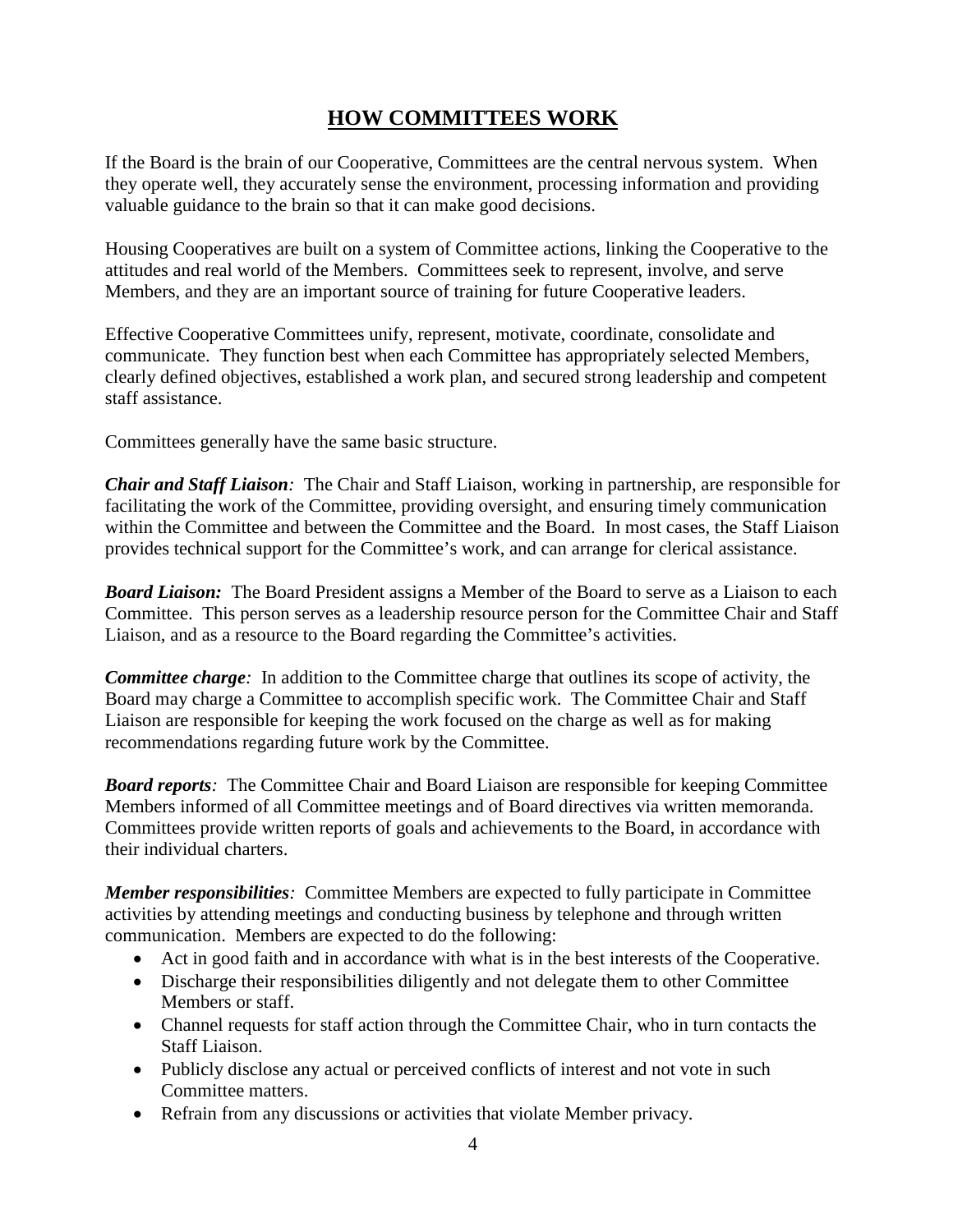# **HOW COMMITTEES WORK**

If the Board is the brain of our Cooperative, Committees are the central nervous system. When they operate well, they accurately sense the environment, processing information and providing valuable guidance to the brain so that it can make good decisions.

Housing Cooperatives are built on a system of Committee actions, linking the Cooperative to the attitudes and real world of the Members. Committees seek to represent, involve, and serve Members, and they are an important source of training for future Cooperative leaders.

Effective Cooperative Committees unify, represent, motivate, coordinate, consolidate and communicate. They function best when each Committee has appropriately selected Members, clearly defined objectives, established a work plan, and secured strong leadership and competent staff assistance.

Committees generally have the same basic structure.

*Chair and Staff Liaison:* The Chair and Staff Liaison, working in partnership, are responsible for facilitating the work of the Committee, providing oversight, and ensuring timely communication within the Committee and between the Committee and the Board. In most cases, the Staff Liaison provides technical support for the Committee's work, and can arrange for clerical assistance.

*Board Liaison:* The Board President assigns a Member of the Board to serve as a Liaison to each Committee. This person serves as a leadership resource person for the Committee Chair and Staff Liaison, and as a resource to the Board regarding the Committee's activities.

*Committee charge:* In addition to the Committee charge that outlines its scope of activity, the Board may charge a Committee to accomplish specific work. The Committee Chair and Staff Liaison are responsible for keeping the work focused on the charge as well as for making recommendations regarding future work by the Committee.

*Board reports:* The Committee Chair and Board Liaison are responsible for keeping Committee Members informed of all Committee meetings and of Board directives via written memoranda. Committees provide written reports of goals and achievements to the Board, in accordance with their individual charters.

*Member responsibilities:* Committee Members are expected to fully participate in Committee activities by attending meetings and conducting business by telephone and through written communication. Members are expected to do the following:

- Act in good faith and in accordance with what is in the best interests of the Cooperative.
- Discharge their responsibilities diligently and not delegate them to other Committee Members or staff.
- Channel requests for staff action through the Committee Chair, who in turn contacts the Staff Liaison.
- Publicly disclose any actual or perceived conflicts of interest and not vote in such Committee matters.
- Refrain from any discussions or activities that violate Member privacy.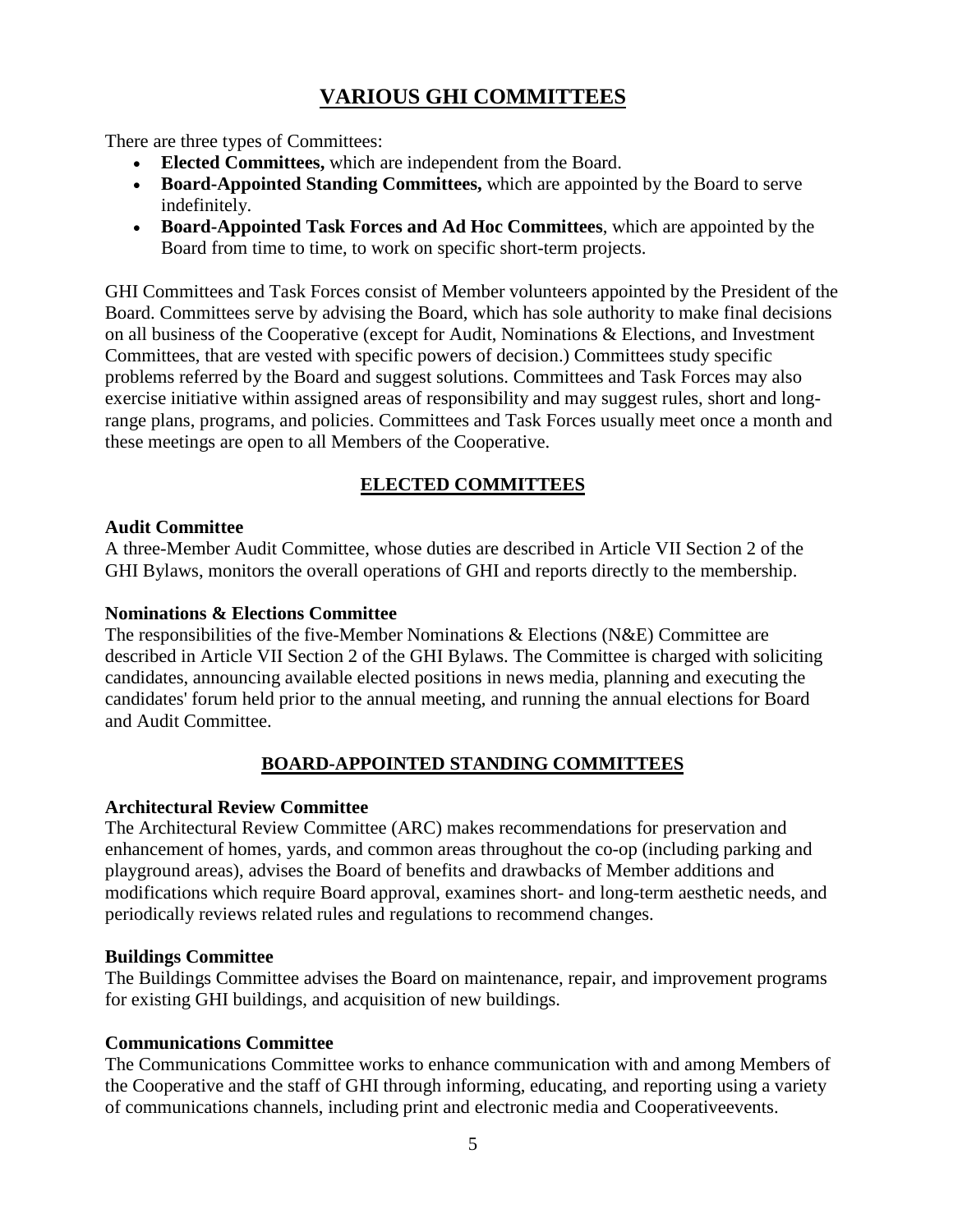# **VARIOUS GHI COMMITTEES**

There are three types of Committees:

- **[Elected Committees,](http://ghi.coop/print/1432#elected)** which are independent from the Board.
- **[Board-Appointed Standing Committees,](http://ghi.coop/print/1432#appointed)** which are appointed by the Board to serve indefinitely.
- **[Board-Appointed Task Forces](http://ghi.coop/print/1432#task) and Ad Hoc Committees**, which are appointed by the Board from time to time, to work on specific short-term projects.

GHI Committees and Task Forces consist of Member volunteers appointed by the President of the Board. Committees serve by advising the Board, which has sole authority to make final decisions on all business of the Cooperative (except for Audit, Nominations & Elections, and Investment Committees, that are vested with specific powers of decision.) Committees study specific problems referred by the Board and suggest solutions. Committees and Task Forces may also exercise initiative within assigned areas of responsibility and may suggest rules, short and longrange plans, programs, and policies. Committees and Task Forces usually meet once a month and these meetings are open to all Members of the Cooperative.

#### **ELECTED COMMITTEES**

#### **[Audit Committee](http://ghi.coop/node/202)**

A three-Member Audit Committee, whose duties are described in Article VII Section 2 of the GHI Bylaws, monitors the overall operations of GHI and reports directly to the membership.

#### **[Nominations & Elections Committee](http://ghi.coop/node/210)**

The responsibilities of the five-Member Nominations & Elections (N&E) Committee are described in Article VII Section 2 of the GHI Bylaws. The Committee is charged with soliciting candidates, announcing available elected positions in news media, planning and executing the candidates' forum held prior to the annual meeting, and running the annual elections for Board and Audit Committee.

#### **BOARD-APPOINTED STANDING COMMITTEES**

#### **[Architectural Review Committee](http://ghi.coop/node/7)**

The Architectural Review Committee (ARC) makes recommendations for preservation and enhancement of homes, yards, and common areas throughout the co-op (including parking and playground areas), advises the Board of benefits and drawbacks of Member additions and modifications which require Board approval, examines short- and long-term aesthetic needs, and periodically reviews related rules and regulations to recommend changes.

#### **Buildings Committee**

The Buildings Committee advises the Board on maintenance, repair, and improvement programs for existing GHI buildings, and acquisition of new buildings.

#### **[Communications Committee](http://ghi.coop/node/412)**

The Communications Committee works to enhance communication with and among Members of the Cooperative and the staff of GHI through informing, educating, and reporting using a variety of communications channels, including print and electronic media and Cooperativeevents.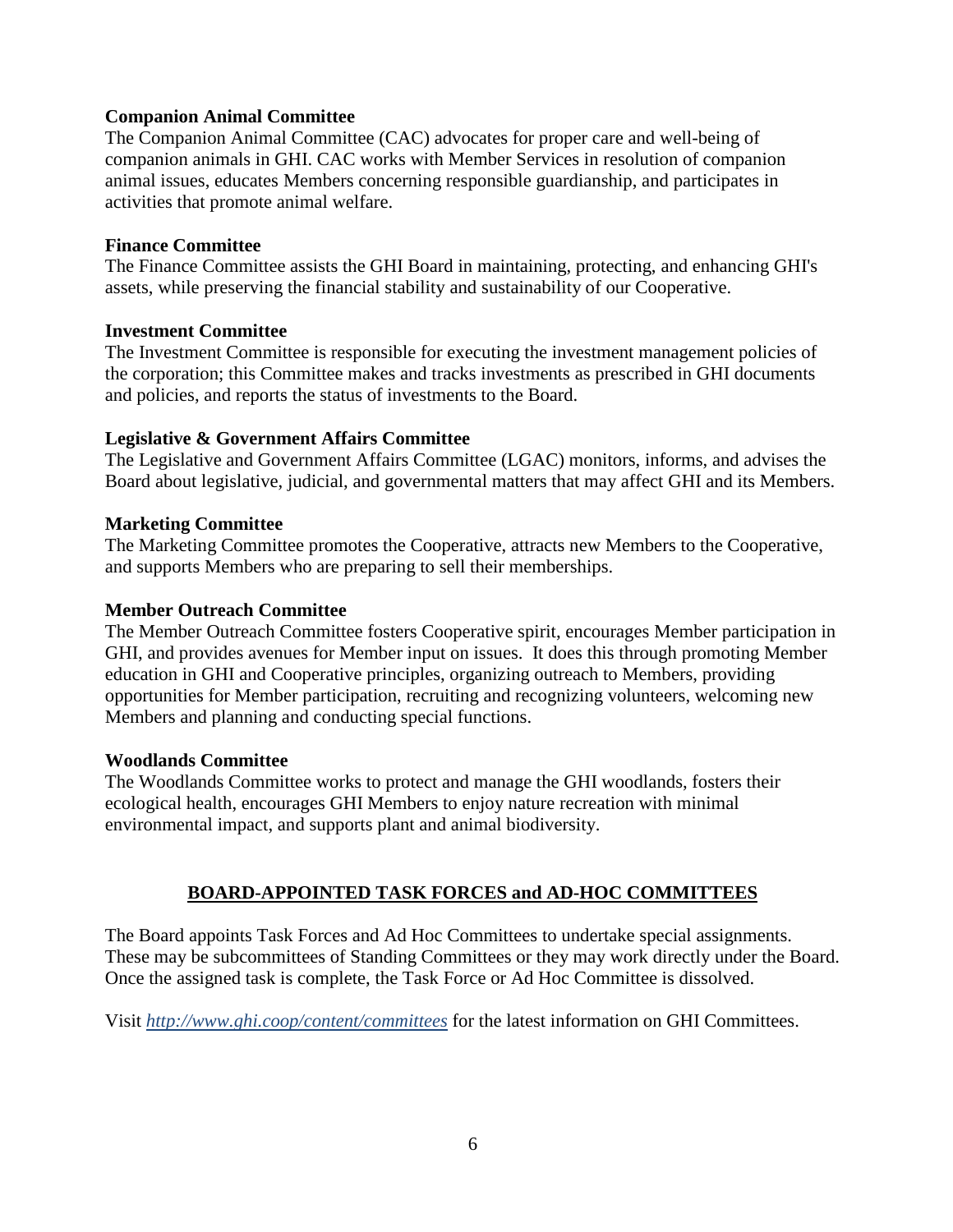#### **[Companion Animal Committee](http://ghi.coop/node/205)**

The Companion Animal Committee (CAC) advocates for proper care and well-being of companion animals in GHI. CAC works with Member Services in resolution of companion animal issues, educates Members concerning responsible guardianship, and participates in activities that promote animal welfare.

#### **[Finance Committee](http://ghi.coop/node/206)**

The Finance Committee assists the GHI Board in maintaining, protecting, and enhancing GHI's assets, while preserving the financial stability and sustainability of our Cooperative.

#### **[Investment Committee](http://ghi.coop/node/207)**

The Investment Committee is responsible for executing the investment management policies of the corporation; this Committee makes and tracks investments as prescribed in GHI documents and policies, and reports the status of investments to the Board.

#### **Legislative & Government Affairs Committee**

The Legislative and Government Affairs Committee (LGAC) monitors, informs, and advises the Board about legislative, judicial, and governmental matters that may affect GHI and its Members.

#### **[Marketing Committee](http://www.ghi.coop/content/marketing-committee)**

The Marketing Committee promotes the Cooperative, attracts new Members to the Cooperative, and supports Members who are preparing to sell their memberships.

#### **[Member Outreach Committee](http://www.ghi.coop/content/member-outreach-committee)**

The Member Outreach Committee fosters Cooperative spirit, encourages Member participation in GHI, and provides avenues for Member input on issues. It does this through promoting Member education in GHI and Cooperative principles, organizing outreach to Members, providing opportunities for Member participation, recruiting and recognizing volunteers, welcoming new Members and planning and conducting special functions.

#### **[Woodlands Committee](http://ghi.coop/node/211)**

The Woodlands Committee works to protect and manage the GHI woodlands, fosters their ecological health, encourages GHI Members to enjoy nature recreation with minimal environmental impact, and supports plant and animal biodiversity.

#### **BOARD-APPOINTED TASK FORCES and AD-HOC COMMITTEES**

The Board appoints Task Forces and Ad Hoc Committees to undertake special assignments. These may be subcommittees of Standing Committees or they may work directly under the Board. Once the assigned task is complete, the Task Force or Ad Hoc Committee is dissolved.

Visit *<http://www.ghi.coop/content/committees>* for the latest information on GHI Committees.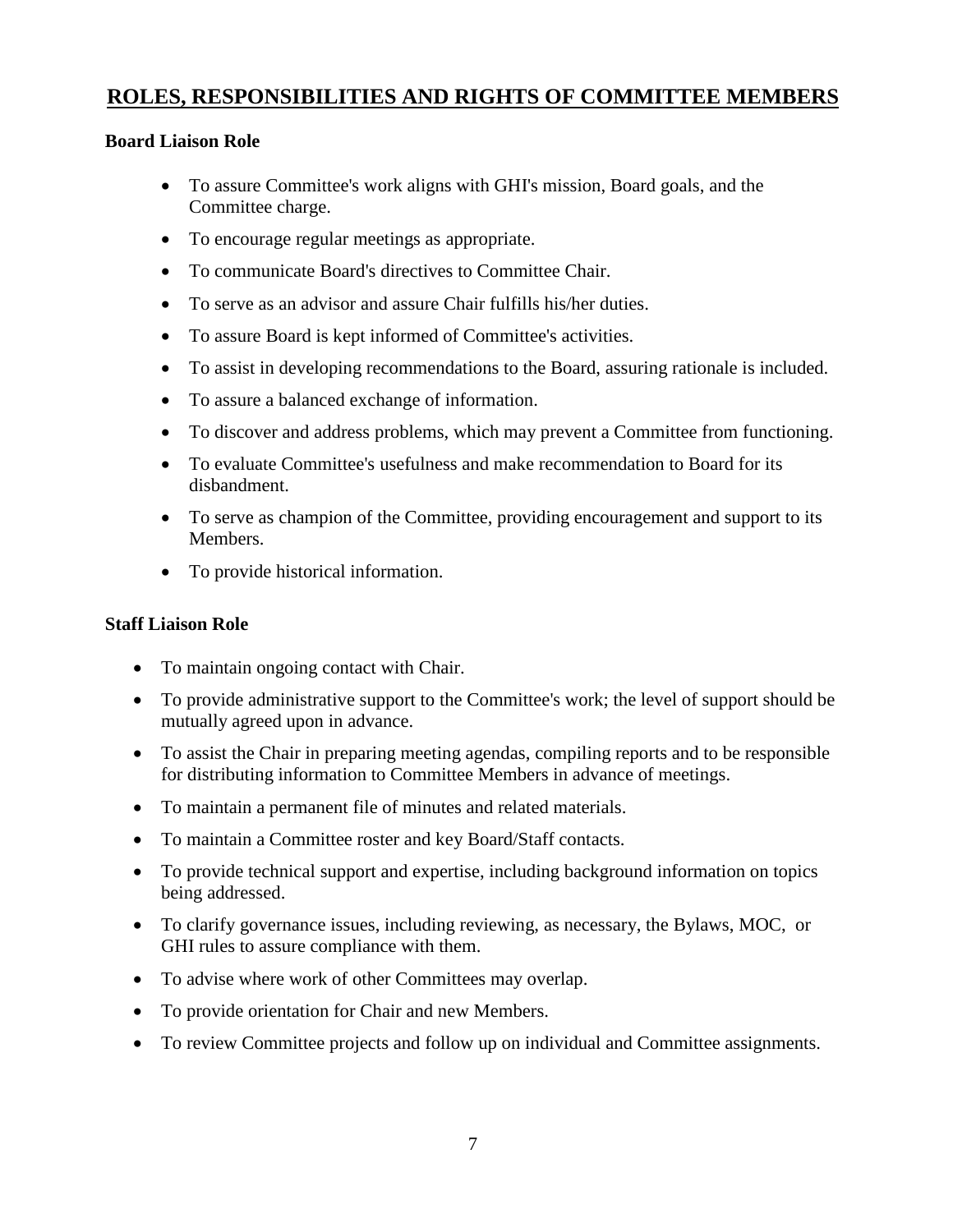## **ROLES, RESPONSIBILITIES AND RIGHTS OF COMMITTEE MEMBERS**

#### **Board Liaison Role**

- To assure Committee's work aligns with GHI's mission, Board goals, and the Committee charge.
- To encourage regular meetings as appropriate.
- To communicate Board's directives to Committee Chair.
- To serve as an advisor and assure Chair fulfills his/her duties.
- To assure Board is kept informed of Committee's activities.
- To assist in developing recommendations to the Board, assuring rationale is included.
- To assure a balanced exchange of information.
- To discover and address problems, which may prevent a Committee from functioning.
- To evaluate Committee's usefulness and make recommendation to Board for its disbandment.
- To serve as champion of the Committee, providing encouragement and support to its Members.
- To provide historical information.

#### **Staff Liaison Role**

- To maintain ongoing contact with Chair.
- To provide administrative support to the Committee's work; the level of support should be mutually agreed upon in advance.
- To assist the Chair in preparing meeting agendas, compiling reports and to be responsible for distributing information to Committee Members in advance of meetings.
- To maintain a permanent file of minutes and related materials.
- To maintain a Committee roster and key Board/Staff contacts.
- To provide technical support and expertise, including background information on topics being addressed.
- To clarify governance issues, including reviewing, as necessary, the Bylaws, MOC, or GHI rules to assure compliance with them.
- To advise where work of other Committees may overlap.
- To provide orientation for Chair and new Members.
- To review Committee projects and follow up on individual and Committee assignments.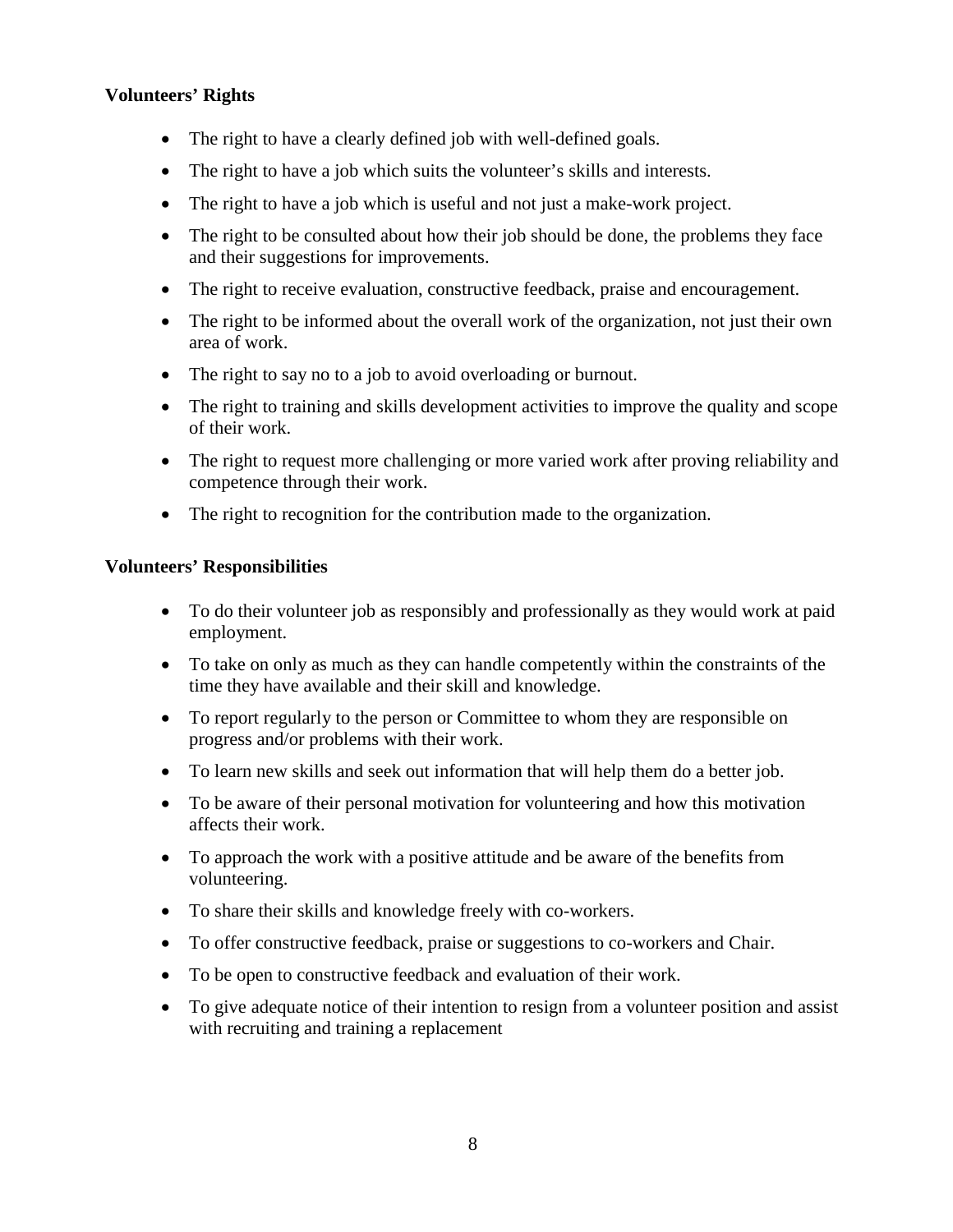#### **Volunteers' Rights**

- The right to have a clearly defined job with well-defined goals.
- The right to have a job which suits the volunteer's skills and interests.
- The right to have a job which is useful and not just a make-work project.
- The right to be consulted about how their job should be done, the problems they face and their suggestions for improvements.
- The right to receive evaluation, constructive feedback, praise and encouragement.
- The right to be informed about the overall work of the organization, not just their own area of work.
- The right to say no to a job to avoid overloading or burnout.
- The right to training and skills development activities to improve the quality and scope of their work.
- The right to request more challenging or more varied work after proving reliability and competence through their work.
- The right to recognition for the contribution made to the organization.

#### **Volunteers' Responsibilities**

- To do their volunteer job as responsibly and professionally as they would work at paid employment.
- To take on only as much as they can handle competently within the constraints of the time they have available and their skill and knowledge.
- To report regularly to the person or Committee to whom they are responsible on progress and/or problems with their work.
- To learn new skills and seek out information that will help them do a better job.
- To be aware of their personal motivation for volunteering and how this motivation affects their work.
- To approach the work with a positive attitude and be aware of the benefits from volunteering.
- To share their skills and knowledge freely with co-workers.
- To offer constructive feedback, praise or suggestions to co-workers and Chair.
- To be open to constructive feedback and evaluation of their work.
- To give adequate notice of their intention to resign from a volunteer position and assist with recruiting and training a replacement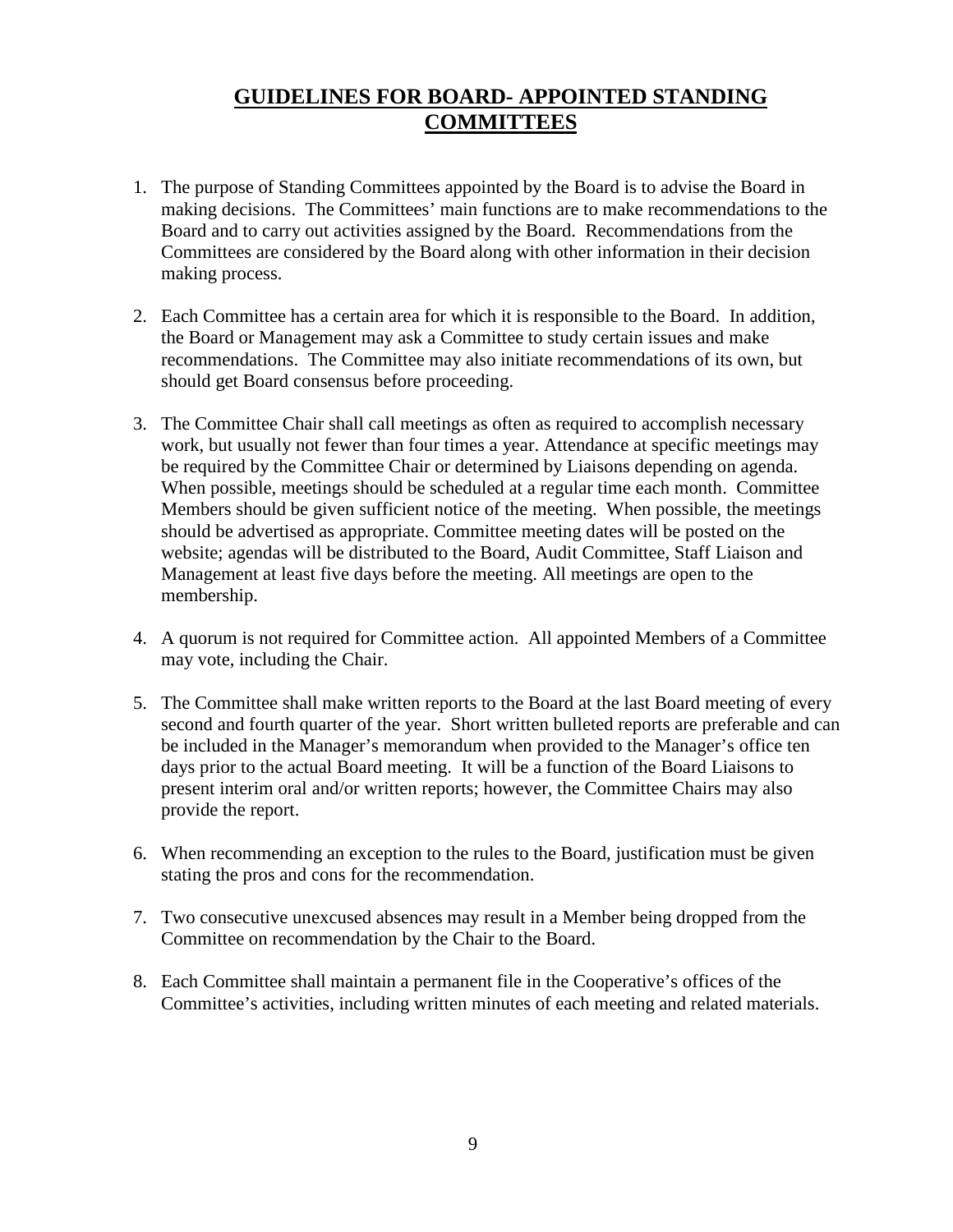# **GUIDELINES FOR BOARD- APPOINTED STANDING COMMITTEES**

- 1. The purpose of Standing Committees appointed by the Board is to advise the Board in making decisions. The Committees' main functions are to make recommendations to the Board and to carry out activities assigned by the Board. Recommendations from the Committees are considered by the Board along with other information in their decision making process.
- 2. Each Committee has a certain area for which it is responsible to the Board. In addition, the Board or Management may ask a Committee to study certain issues and make recommendations. The Committee may also initiate recommendations of its own, but should get Board consensus before proceeding.
- 3. The Committee Chair shall call meetings as often as required to accomplish necessary work, but usually not fewer than four times a year. Attendance at specific meetings may be required by the Committee Chair or determined by Liaisons depending on agenda. When possible, meetings should be scheduled at a regular time each month. Committee Members should be given sufficient notice of the meeting. When possible, the meetings should be advertised as appropriate. Committee meeting dates will be posted on the website; agendas will be distributed to the Board, Audit Committee, Staff Liaison and Management at least five days before the meeting. All meetings are open to the membership.
- 4. A quorum is not required for Committee action. All appointed Members of a Committee may vote, including the Chair.
- 5. The Committee shall make written reports to the Board at the last Board meeting of every second and fourth quarter of the year. Short written bulleted reports are preferable and can be included in the Manager's memorandum when provided to the Manager's office ten days prior to the actual Board meeting. It will be a function of the Board Liaisons to present interim oral and/or written reports; however, the Committee Chairs may also provide the report.
- 6. When recommending an exception to the rules to the Board, justification must be given stating the pros and cons for the recommendation.
- 7. Two consecutive unexcused absences may result in a Member being dropped from the Committee on recommendation by the Chair to the Board.
- 8. Each Committee shall maintain a permanent file in the Cooperative's offices of the Committee's activities, including written minutes of each meeting and related materials.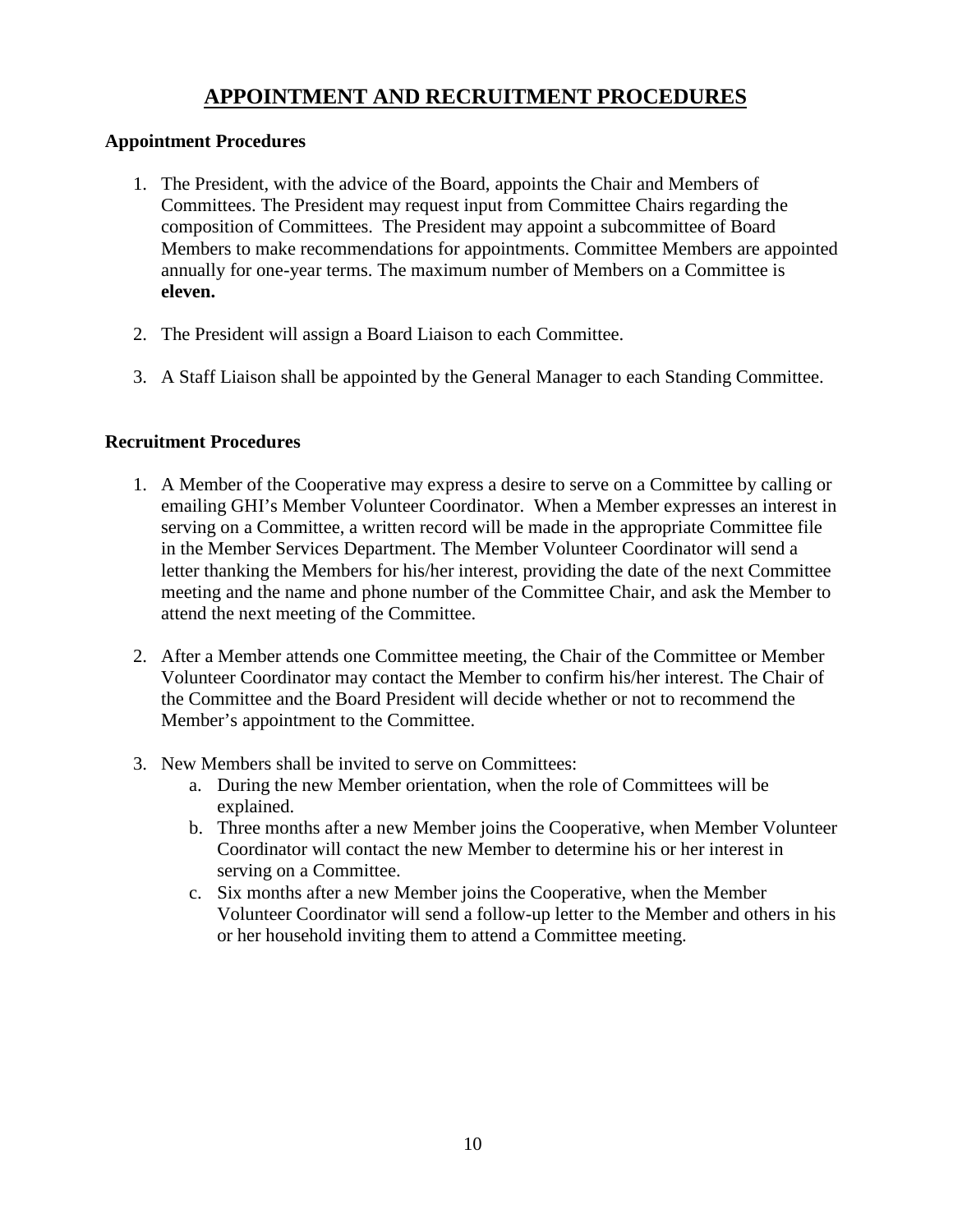## **APPOINTMENT AND RECRUITMENT PROCEDURES**

#### **Appointment Procedures**

- 1. The President, with the advice of the Board, appoints the Chair and Members of Committees. The President may request input from Committee Chairs regarding the composition of Committees. The President may appoint a subcommittee of Board Members to make recommendations for appointments. Committee Members are appointed annually for one-year terms. The maximum number of Members on a Committee is **eleven.**
- 2. The President will assign a Board Liaison to each Committee.
- 3. A Staff Liaison shall be appointed by the General Manager to each Standing Committee.

#### **Recruitment Procedures**

- 1. A Member of the Cooperative may express a desire to serve on a Committee by calling or emailing GHI's Member Volunteer Coordinator. When a Member expresses an interest in serving on a Committee, a written record will be made in the appropriate Committee file in the Member Services Department. The Member Volunteer Coordinator will send a letter thanking the Members for his/her interest, providing the date of the next Committee meeting and the name and phone number of the Committee Chair, and ask the Member to attend the next meeting of the Committee.
- 2. After a Member attends one Committee meeting, the Chair of the Committee or Member Volunteer Coordinator may contact the Member to confirm his/her interest. The Chair of the Committee and the Board President will decide whether or not to recommend the Member's appointment to the Committee.
- 3. New Members shall be invited to serve on Committees:
	- a. During the new Member orientation, when the role of Committees will be explained.
	- b. Three months after a new Member joins the Cooperative, when Member Volunteer Coordinator will contact the new Member to determine his or her interest in serving on a Committee.
	- c. Six months after a new Member joins the Cooperative, when the Member Volunteer Coordinator will send a follow-up letter to the Member and others in his or her household inviting them to attend a Committee meeting.